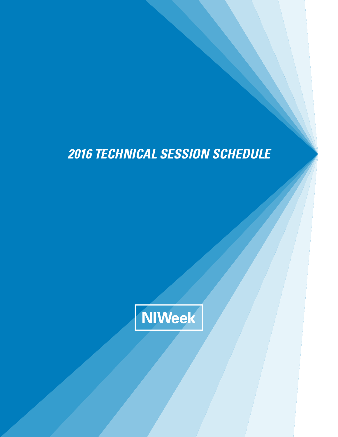# *2016 TECHNICAL SESSION SCHEDULE*

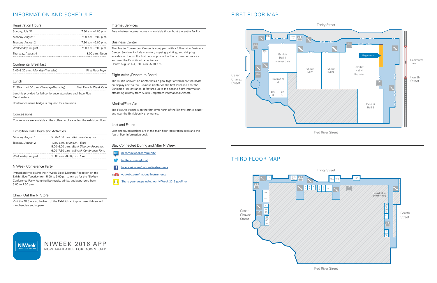## INFORMATION AND SCHEDULE

#### Registration Hours

| Sunday, July 31     | 7:30 a.m.-4:00 p.m.   |
|---------------------|-----------------------|
| Monday, August 1    | 7:00 a.m. - 6:00 p.m. |
| Tuesday, August 2   | 7:30 a.m. - 5:00 p.m. |
| Wednesday, August 3 | 7:30 a.m. - 5:00 p.m. |
| Thursday, August 4  | $8:00$ a.m. $-$ Noon  |

#### Continental Breakfast

7:45–8:30 a.m. (Monday–Thursday) First Floor Foyer

#### Lunch

11:30 a.m.–1:00 p.m. (Tuesday–Thursday) First Floor NIWeek Cafe Lunch is provided for full-conference attendees and Expo Plus Pass holders.

Conference name badge is required for admission.

#### Concessions

Concessions are available at the coffee cart located on the exhibition floor.

#### Exhibition Hall Hours and Activities

| Monday, August 1    | 5:30-7:00 p.m. Welcome Reception                                                                              |
|---------------------|---------------------------------------------------------------------------------------------------------------|
| Tuesday, August 2   | 10:00 a.m.-5:00 p.m. Expo<br>5:00–6:00 p.m. Block Diagram Reception<br>6:00–7:30 p.m. NIWeek Conference Party |
| Wednesday, August 3 | 10:00 a.m.-6:00 p.m. Expo                                                                                     |

#### NIWeek Conference Party

Immediately following the NIWeek Block Diagram Reception on the Exhibit floor Tuesday from 5:00 to 6:00 p.m., join us for the NIWeek Conference Party featuring live music, drinks, and appetizers from 6:00 to 7:30 p.m.

#### Check Out the NI Store

Visit the NI Store at the back of the Exhibit Hall to purchase NI-branded merchandise and apparel.

- $\boxed{\mathbf{N}}$ [ni.com/niweekcommunity](http://ni.com/niweekcommunity)
- [twitter.com/niglobal](http://twitter.com/niglobal)
- [facebook.com‑/nationalinstruments](http://facebook.com/nationalinstruments)  $\left| \right|$
- [youtube.com/nationalinstruments](http://youtube.com/nationalinstruments) You Tube
- [Share your snaps using our NIWeek 2016 geofilter](https://www.snapchat.com/download)

#### Internet Services

Free wireless Internet access is available throughout the entire facility.

#### Business Center

The Austin Convention Center is equipped with a full-service Business Center. Services include scanning, copying, printing, and shipping assistance. It is on the first floor opposite the Trinity Street entrances and near the Exhibition Hall entrance. Hours: August 1–4, 8:00 a.m.–5:00 p.m.

#### Flight Arrival/Departure Board

The Austin Convention Center has a digital flight arrival/departure board on display next to the Business Center on the first level and near the Exhibition Hall entrance. It features up-to-the-second flight information streaming directly from Austin-Bergstrom International Airport.

#### Medical/First Aid

The First Aid Room is on the first level north of the Trinity North elevator and near the Exhibition Hall entrance.

#### Lost and Found

Lost and found stations are at the main floor registration desk and the fourth floor information desk.

### Stay Connected During and After NIWeek

## FIRST FLOOR MAP

### Trinity Street

Red River Street



## THIRD FLOOR MAP





### Trinity Street

Red River Street

[NIWEEK 2016 APP](http://showcase.genie-connect.com/niweek2016/)  NOW AVAILABLE FOR DOWNLOAD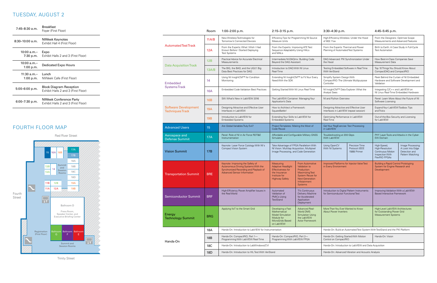## TUESDAY, AUGUST 2

|                                                        | Room       | 1:00-2:00 p.m.                                                                                                                                          | 2:15-3:15 p.m.                                                                                                                  |                                                                                                                                                                  | 3:30-4:30 p.m.                                                                     |                                                               | 4:45-5:45 p.m.                                                                                 |                                                                            |  |
|--------------------------------------------------------|------------|---------------------------------------------------------------------------------------------------------------------------------------------------------|---------------------------------------------------------------------------------------------------------------------------------|------------------------------------------------------------------------------------------------------------------------------------------------------------------|------------------------------------------------------------------------------------|---------------------------------------------------------------|------------------------------------------------------------------------------------------------|----------------------------------------------------------------------------|--|
|                                                        | 11A/B      | New Wireless Technologies for<br>Tomorrow's Connected Devices                                                                                           | Efficiency Tips for Programming NI Source<br>Measure Units                                                                      |                                                                                                                                                                  | High-Efficiency Wireless: Under the Hood<br>of 802.11ax                            |                                                               | From the Designers: Optimize Scope<br>Measurements and Advanced Features                       |                                                                            |  |
| <b>Automated Test Track</b>                            | 12A        | From the Experts: What I Wish I Had<br>Known Before I Started Deploying<br><b>Test Systems</b>                                                          | From the Experts: Improving ATE Test<br>Sequence Adaptability Using HALs<br>and MALs                                            |                                                                                                                                                                  | From the Experts: Thermal and Power<br>Planning of Automated Test Systems          |                                                               | Birth to Earth: A Case Study in Full-Cycle<br><b>Test Automation</b>                           |                                                                            |  |
|                                                        | 12B        | Practical Advice for Accurate Electrical<br>Measurements                                                                                                | Intermediate NI-DAQmx: Building Code<br>Beyond the DAQ Assistant                                                                |                                                                                                                                                                  | DAQ Advanced: PXI Synchronization Under<br>the Hood                                |                                                               | How Best-in-Class Companies Save<br>Measurement Data                                           |                                                                            |  |
| <b>Data Acquisition Track</b>                          | 13A/B      | The BIG, the BAD, and the UGLY: Big<br>Data Best Practices for DAQ                                                                                      | Introduction to DAQ With NI Linux<br>Real-Time                                                                                  |                                                                                                                                                                  | Testing Embedded Software in Real Time<br><b>With VeriStand</b>                    |                                                               | Top 10 Things You Should Know About<br>CompactDAQ and CompactRIO                               |                                                                            |  |
| Embedded                                               | 14         | Using NI InsightCM™ for Condition<br>Monitorina                                                                                                         | Need With the SDK                                                                                                               | Extending NI InsightCM™ to Fit Your Every<br>Simplify System Design With<br>CompactRIO: The Ultimate Multipurpose<br>Controller                                  |                                                                                    |                                                               | Peek Behind the Curtain of NI Embedded<br>Hardware and Software Development and<br>Validation  |                                                                            |  |
| <b>Systems Track</b>                                   | <b>16A</b> | <b>Embedded Code Validation Best Practices</b>                                                                                                          | Getting Started With NI Linux Real-Time                                                                                         |                                                                                                                                                                  | NI InsightCM™ Data Explorer: What the<br><b>Analyst Sees</b>                       |                                                               | Integrating C/C++ and LabVIEW on<br>NI Linux Real-Time Embedded Hardware                       |                                                                            |  |
|                                                        | <b>16B</b> | SW: What's New in LabVIEW 2016                                                                                                                          | The LabVIEW Container: Managing Your<br>Application's Data                                                                      |                                                                                                                                                                  | NI and Python Overview                                                             |                                                               | Software Licensing                                                                             | Panel: Learn More About the Future of NI                                   |  |
| <b>Software Development</b><br><b>Techniques Track</b> | 19A        | Designing Attractive and Effective User<br>Interfaces in LabVIEW                                                                                        | How to Architect a Framework:<br>SquareBattle!                                                                                  |                                                                                                                                                                  | Designing Attractive and Effective User<br>Interfaces in LabVIEW (repeat session)  |                                                               | Expand Your LabVIEW Toolbox: Tips<br>and Tricks                                                |                                                                            |  |
|                                                        | <b>19B</b> | Introduction to LabVIEW for<br><b>Embedded Systems</b>                                                                                                  | Extending Your Skills to LabVIEW for<br><b>Embedded Systems</b>                                                                 |                                                                                                                                                                  | Real-Time                                                                          | Optimizing Performance in LabVIEW                             |                                                                                                | Out-of-the-Box Security and Licensing<br>for LabVIEW                       |  |
| <b>Advanced Users</b>                                  | 15         | Are Global Variables Truly Evil?                                                                                                                        | Project Templates: Making the Most of<br>Code Reuse                                                                             |                                                                                                                                                                  | Get Your RegExercise: Text Processing<br>in LabVIEW                                |                                                               |                                                                                                |                                                                            |  |
| Aerospace and<br><b>Defense Summit</b>                 | 17A        | Panel: Role of NI in Air Force RDT&E<br>Instrumentation                                                                                                 | Simulator                                                                                                                       | Affordable and Configurable Military GNSS<br>Troubleshooting at 200 Gbps<br>With LabVIEW                                                                         |                                                                                    | PHY Layer Tools and Attacks in the Cyber-<br><b>EW Domain</b> |                                                                                                |                                                                            |  |
| <b>Vision Summit</b>                                   | <b>17B</b> | Keynote: Laser Force Cytology With NI's<br><b>Compact Vision System</b>                                                                                 | Take Advantage of FPGA Parallelism With<br>NI Vision: Multitap Acquisition, Multipixel<br>Image Processing, and Code Generation |                                                                                                                                                                  | Using OpenCV<br>With NI Systems                                                    | Precision Time<br>Protocol (IEEE<br>1588) Primer              | High-Speed,<br>High-Resolution<br><b>Continuous Motion</b><br>Inspection With<br>FlexRIO FPGAs | Image Processing:<br>A Look Into Edge<br>Detection and<br>Pattern Matching |  |
| <b>Transportation Summit</b>                           | <b>BRE</b> | Keynote: Improving the Safety of<br>Autonomous Driving Systems With the<br>Synchronized Recording and Playback of<br><b>Advanced Sensor Information</b> | Measuring<br><b>Adaptive Headlight</b><br><b>Effectiveness for</b><br>the Insurance<br>Institute for<br><b>Highway Safety</b>   | From Automotive<br>Validation to<br>Production:<br><b>Maximizing Test</b><br><b>System Reuse for</b><br><b>Next-Generation</b><br>Infotainment<br><b>Systems</b> | Improved Platforms for Injector Valve Test<br>in Every Environment                 |                                                               | <b>Building a Rapid Control Prototyping</b><br>System for Engine Research and<br>Development   |                                                                            |  |
| <b>Semiconductor Summit</b>                            | <b>BRF</b> | High-Efficiency Power Amplifier Issues in<br>the Real World                                                                                             | Automated<br>Validation of<br><b>PMICs Using</b><br><b>TestStand</b>                                                            | Tl's Continuous<br>Delivery Machine<br>for Accelerated<br>Application<br>Deployment                                                                              | Introduction to Digital Pattern Instruments<br>for Semiconductor Functional Test   |                                                               | Improving Validation With a LabVIEW-<br><b>Based Interactive Framework</b>                     |                                                                            |  |
| Energy<br><b>Technology Summit</b>                     | <b>BRG</b> | Applying IIoT to the Smart Grid                                                                                                                         | Developing a Fast<br>Mathematical<br><b>Model Simulation</b><br>Module for<br>MicroGrids Based<br>on LabVIEW                    | <b>Advanced Real-</b><br><b>World DMS</b><br><b>Simulation Using</b><br>the LabVIEW<br><b>Actor Framework</b>                                                    | More Than You Ever Wanted to Know<br><b>About Power Inverters</b>                  |                                                               | High-Level LabVIEW Architectures<br>for Outstanding Power Grid<br><b>Measurement Systems</b>   |                                                                            |  |
|                                                        | 18A        | Hands-On: Introduction to LabVIEW for Instrumentation                                                                                                   |                                                                                                                                 |                                                                                                                                                                  |                                                                                    |                                                               | Hands-On: Build an Automated Test System With TestStand and the PXI Platform                   |                                                                            |  |
| Hands-On                                               | 18B        | Hands-On: CompactRIO, Part 1-<br>Programming With LabVIEW Real-Time                                                                                     | Hands-On: CompactRIO, Part 2-<br>Programming With LabVIEW FPGA                                                                  |                                                                                                                                                                  | Hands-On: Vision<br>Hands-On: Getting Started With Motion<br>Control on CompactRIO |                                                               |                                                                                                |                                                                            |  |
|                                                        | 18C        | Hands-On: Introduction to LabWindows/CVI                                                                                                                |                                                                                                                                 |                                                                                                                                                                  | Hands-On: Introduction to LabVIEW and Data Acquisition                             |                                                               |                                                                                                |                                                                            |  |
|                                                        | 18D        | Hands-On: Introduction to HIL Test With VeriStand                                                                                                       | Hands-On: Advanced Vibration and Acoustic Analysis                                                                              |                                                                                                                                                                  |                                                                                    |                                                               |                                                                                                |                                                                            |  |

| 3:30-4:30 p.m. |  |  |  |
|----------------|--|--|--|
|----------------|--|--|--|

| $7:45-8:30$ a.m.         | <b>Breakfast</b><br>Foyer (First Floor)                        |
|--------------------------|----------------------------------------------------------------|
| $8:30-10:00$ a.m.        | NIWeek Keynotes<br>Exhibit Hall 4 (First Floor)                |
| 10:00 a.m.–<br>7:30 p.m. | Expo<br>Exhibit Halls 2 and 3 (First Floor)                    |
| 10:00 a.m.–<br>1:00 p.m. | Dedicated Expo Hours                                           |
| 11:30 a.m.–<br>1:00 p.m. | Lunch<br>NIWeek Cafe (First Floor)                             |
| 5:00-6:00 p.m.           | Block Diagram Reception<br>Exhibit Halls 2 and 3 (First Floor) |
| $6:00 - 7:30$ p.m.       | NIWeek Conference Party<br>Exhibit Halls 2 and 3 (First Floor) |

## FOURTH FLOOR MAP



Trinity Street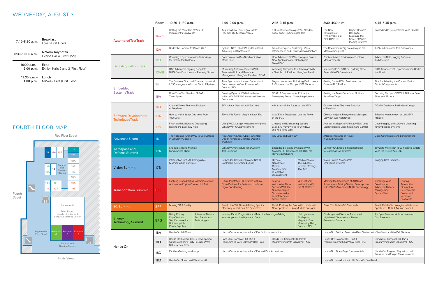## WEDNESDAY, AUGUST 3

|                                                        | <b>Room</b>                                                                       | 10:30-11:30 a.m.                                                                                   |                                                                                                      | $1:00-2:00$ p.m.                                                                                                                                      | $2:15-3:15$ p.m.                                                                                                                      |                                                                                         | 3:30-4:30 p.m.                                                                                                                                                              |                                                                                                               |                                                                                | 4:45-5:45 p.m.                                                                                           |  |
|--------------------------------------------------------|-----------------------------------------------------------------------------------|----------------------------------------------------------------------------------------------------|------------------------------------------------------------------------------------------------------|-------------------------------------------------------------------------------------------------------------------------------------------------------|---------------------------------------------------------------------------------------------------------------------------------------|-----------------------------------------------------------------------------------------|-----------------------------------------------------------------------------------------------------------------------------------------------------------------------------|---------------------------------------------------------------------------------------------------------------|--------------------------------------------------------------------------------|----------------------------------------------------------------------------------------------------------|--|
| <b>Automated Test Track</b>                            | 11A/B                                                                             | Getting the Most Out of Your RF<br>Instrument's Bandwidth                                          |                                                                                                      | Acquiring Low-Level Signals With<br>Precision DC Measurements                                                                                         | 5 Disruptive Technologies You Need to<br>Know About in Automated Test                                                                 |                                                                                         | Object-Oriented<br>The New<br>Revolution of<br>Design to<br>Flying Probe Test:<br>Maximize the<br>Pilot 4D V8 HF<br>Speed of Wafer<br>Probing Systems                       |                                                                                                               | Embedded Instrumentation With FlexRIO                                          |                                                                                                          |  |
|                                                        | 12A                                                                               | Under the Hood of TestStand 2016                                                                   |                                                                                                      | Python, .NET, LabVIEW, and TestStand:<br>From the Experts: Switching, Mass<br>Achieving Test System Zen<br>Interconnect, and Fixturing Considerations |                                                                                                                                       |                                                                                         | The Revolution in Big Data Analysis for<br>Manufacturing Test                                                                                                               |                                                                                                               | Air Your Automated Test Grievances                                             |                                                                                                          |  |
|                                                        | 12B                                                                               | Choosing a Synchronization Technology<br>for Distributed Systems                                   |                                                                                                      | Communication Bus Synchronization<br>Made Easy                                                                                                        | How Advanced DSP Technologies Enable<br>New Applications for Delta-Sigma-<br>Based DAQ                                                |                                                                                         | Practical Advice for Accurate Electrical<br><b>Measurements</b>                                                                                                             |                                                                                                               | Advanced Data-Logging Software<br>Architectures                                |                                                                                                          |  |
| <b>Data Acquisition Track</b>                          | DAQ Advanced: Digging Deep Into<br>13A/B<br>NI-DAQmx Functions and Property Nodes |                                                                                                    | Minimizing Software Defects With<br>Automated HIL and Resource<br>Management Using VeriStand and RQM | Achieving Complete Test Coverage With<br>a Flexible HIL Platform Using VeriStand                                                                      |                                                                                                                                       | Intermediate NI-DAQmx: Building Code<br>Beyond the DAQ Assistant                        |                                                                                                                                                                             | DAQ Advanced: PXI Synchronization Under<br>the Hood                                                           |                                                                                |                                                                                                          |  |
| <b>Embedded</b>                                        | 14                                                                                |                                                                                                    | The Future of Standard Ethernet: Industrial<br>IoT Convergence With the Control System               | Time Synchronization and Deterministic<br>Communication Over Ethernet With<br>CompactRIO                                                              | for Vision on the CompactRIO Platform                                                                                                 | Beyond Inspection: Unlocking Performance                                                | Getting Started With Motion on the<br>CompactRIO Platform                                                                                                                   |                                                                                                               | Tips for Selecting the Correct Motion<br><b>Control Components</b>             |                                                                                                          |  |
| <b>Systems Track</b>                                   | <b>16A</b>                                                                        | Don't Think You Need an FPGA?<br>Think Again!                                                      |                                                                                                      | Creating Dynamic FPGA Interfaces<br>With LabVIEW FPGA Advanced Session<br>Resources                                                                   | DCAF: A Framework for Efficiently<br>Developing Robust Control Applications                                                           |                                                                                         | Getting the Most Out of Your NI Linux<br>Real-Time Target                                                                                                                   |                                                                                                               | Time and SELinux                                                               | Securing CompactRIO With NI Linux Real-                                                                  |  |
|                                                        | <b>16B</b>                                                                        | Channel Wires: The Next Evolution<br>of Dataflow                                                   |                                                                                                      | SW: What's New in LabVIEW 2016                                                                                                                        | A Preview of the Future of LabVIEW                                                                                                    |                                                                                         | Channel Wires: The Next Evolution<br>of Dataflow                                                                                                                            |                                                                                                               | DQMH: Decisions Behind the Design                                              |                                                                                                          |  |
| <b>Software Development</b><br><b>Techniques Track</b> | 19A                                                                               | How to Make Better Decisions From<br>Your Data                                                     |                                                                                                      | TDMS File Format Usage In LabVIEW                                                                                                                     | LabVIEW + Databases: Use the Power<br>of the SQL                                                                                      |                                                                                         | Objects, Objects Everywhere: Managing<br>LabVIEW OO Hierarchies<br>Artificial Intelligence With LabVIEW: Deep<br>Learning-Based Classification and Control                  |                                                                                                               | Effective Management of LabVIEW<br>Projects                                    |                                                                                                          |  |
|                                                        | 19B                                                                               | FPGA Optimization and Debugging<br>Beyond the LabVIEW Help                                         |                                                                                                      | Using VHDL Design Principles to Improve<br>LabVIEW FPGA Development                                                                                   | Creating and Maintaining Scalable<br>LabVIEW Frameworks for Windows<br>and Real-Time OSs                                              |                                                                                         |                                                                                                                                                                             |                                                                                                               | Code Integrity and Software Licensing<br>for Embedded Systems                  |                                                                                                          |  |
| <b>Advanced Users</b>                                  | 15                                                                                | The Right and Wrong Way to Use Settings<br>in LabVIEW Classes                                      |                                                                                                      | How Applying Agile Object-Oriented<br>Design Principles Changes Designs<br>and Code                                                                   | ISO 9000 and LabVIEW                                                                                                                  |                                                                                         | XNodes: Treasures of Reuse<br>in LabVIEW's Attic                                                                                                                            |                                                                                                               | Code Optimization and Benchmarking                                             |                                                                                                          |  |
| Aerospace and<br><b>Defense Summit</b>                 | 17A                                                                               | <b>Shock Test Using Multiple</b><br>Synchronized Racks                                             |                                                                                                      | LabVIEW Architecture for a Custom<br><b>Test Executive</b>                                                                                            | <b>Embedded Test and Evaluation With</b><br>Modular NI Platform and RTI DDS for<br>Remote Databasing                                  |                                                                                         |                                                                                                                                                                             | Using FPGA-Enabled Instrumentation<br>to Test Cognitive Systems                                               |                                                                                | Simulate More Than 1000 Realistic Targets<br>With the RES in Your Lab                                    |  |
| <b>Vision Summit</b>                                   | 17B                                                                               | Introduction to VBAI: Configurable<br>Machine Vision Software                                      |                                                                                                      | Embedded Controller Quality: Not All<br><b>Controllers Are Created Equal</b>                                                                          | Remote<br>Noncontact<br>Optical<br>Measurement<br>of Vibration<br>Displacement                                                        | Machine Vision:<br>The Industrial<br>Internet of Things<br>That See                     | Vision-Guided Motion With<br><b>Embedded Systems</b>                                                                                                                        |                                                                                                               | Imaging Best Practices                                                         |                                                                                                          |  |
| <b>Transportation Summit</b>                           | <b>BRE</b>                                                                        | Automotive Engine Control Unit Test                                                                | Evolving Beyond Virtual Instrumentation in                                                           | Future Proof Your HIL System with an<br>Open Platform for Switches, Loads, and<br>Signal Conditioning                                                 | Testing<br><b>Automotive Radar</b><br>Sensors With the<br>NI Active Target<br>Simulator and a<br>LabVIEW-Based<br><b>Scene Editor</b> | V2X Test and<br><b>Verification With</b><br>the NI Platform                             | Meeting the Challenges of ADAS and<br>Autonomous Driving System Development<br>Solutions for<br>with IPG CarMaker and NI HIL Technology<br>Management<br><b>System Test</b> |                                                                                                               | Challenges and<br><b>Advanced Battery</b>                                      | <b>Utilizing</b><br>Automotive<br>Ethernet for<br>Deterministic<br>Control and<br>Increased<br>Bandwidth |  |
| <b>5G Summit</b>                                       | <b>BRF</b>                                                                        | Making 5G A Reality                                                                                |                                                                                                      | Panel: How Will Record-Setting Spectral<br>Efficiency Impact Real 5G Systems?                                                                         | Panel: Pushing the Bandwidth Limits With<br>New Spectrum-How Much Is Enough?                                                          |                                                                                         | Panel: The Path to 5G Standards                                                                                                                                             |                                                                                                               | Panel: Cellular Technologies in Unlicensed<br>Spectrum: LTE-U, LAA, and Beyond |                                                                                                          |  |
| Energy<br><b>Technology Summit</b>                     | <b>BRG</b>                                                                        | Using Cutting-<br>Edge Tools to<br>Test Firmware for<br>Uninterruptible<br>Power Supplies          | <b>Advanced Battery</b><br><b>Test Trends and</b><br><b>Technologies</b>                             | Industry Panel: Prognostics and Machine Learning-Adding<br>Knowledge and Intelligence to Data                                                         |                                                                                                                                       | Hydrogenerator<br>Air Gap and<br>Magnetic Flux<br><b>Monitoring Using</b><br>CompactRIO | Challenges and Tools for Automated<br>High-Level Diagnostics in Power<br><b>Grid Research</b><br><b>Generation Systems</b>                                                  |                                                                                                               | An Open Framework for Accelerated                                              |                                                                                                          |  |
|                                                        | 18A                                                                               | Hands-On: NI-RFmx                                                                                  |                                                                                                      | Hands-On: Introduction to LabVIEW for Instrumentation                                                                                                 |                                                                                                                                       | Hands-On: Build an Automated Test System With TestStand and the PXI Platform            |                                                                                                                                                                             |                                                                                                               |                                                                                |                                                                                                          |  |
| Hands-On                                               | 18B                                                                               | Hands-On: Explore C/C++ Development<br>Options and Third-Party Packages With<br>NI Linux Real-Time |                                                                                                      | Hands-On: CompactRIO, Part 1-<br>Hands-On: CompactRIO, Part 2-<br>Programming With LabVIEW Real-Time<br>Programming With LabVIEW FPGA                 |                                                                                                                                       |                                                                                         | Hands-On: CompactRIO, Part 1-<br>Programming With LabVIEW Real-Time                                                                                                         |                                                                                                               | Hands-On: CompactRIO, Part 2-<br>Programming With LabVIEW FPGA                 |                                                                                                          |  |
|                                                        | 18C                                                                               | Panthera Training Workshop                                                                         |                                                                                                      | Hands-On: Introduction to LabVIEW and Data Acquisition                                                                                                |                                                                                                                                       |                                                                                         |                                                                                                                                                                             | Hands-On: Strain Gage Fundamentals<br>Hands-On: Plug and Play With Load,<br>Pressure, and Torque Measurements |                                                                                |                                                                                                          |  |
|                                                        | 18D                                                                               | Hands-On: Sound and Vibration 101                                                                  |                                                                                                      |                                                                                                                                                       |                                                                                                                                       |                                                                                         | Hands-On: Introduction to HIL Test With VeriStand                                                                                                                           |                                                                                                               |                                                                                |                                                                                                          |  |

| $7:45-8:30$ a.m.    | <b>Breakfast</b><br>Foyer (First Floor)               |
|---------------------|-------------------------------------------------------|
| $8:30-10:00$ a.m.   | NIWeek Keynotes<br>Exhibit Hall 4 (First Floor)       |
| 10:00 a.m.–         | Expo<br>6:00 p.m. Exhibit Halls 2 and 3 (First Floor) |
| $11:30$ a.m.- Lunch | 1:00 p.m. NIWeek Cafe (First Floor)                   |

## FOURTH FLOOR MAP



Trinity Street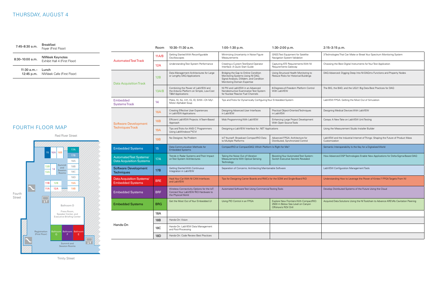## THURSDAY, AUGUST 4

#### Room 10:30–11:30 a.m. 1:00–1:30 p.m. 1:30–2:00 p.m. 2:15–3:15 p.m.

3 Technologies That Can Make or Break Your Spectrum Monitoring System

Choosing the Best Digital Instruments for Your Test Application

DAQ Advanced: Digging Deep Into NI-DAQmx Functions and Property Nodes

The BIG, the BAD, and the UGLY: Big Data Best Practices for DAQ

LabVIEW FPGA: Getting the Most Out of Simulation

Designing Medical Devices With LabVIEW

Caraya: A New Take on LabVIEW Unit Testing

Using the Measurement Studio Installer Builder

|                                                             | Room            | 10:30-11:30 a.m.                                                                                              | $1:00-1:30$ p.m.                                                                                                                                  | 1:30-2:00 p.m.                                                                                     |  |
|-------------------------------------------------------------|-----------------|---------------------------------------------------------------------------------------------------------------|---------------------------------------------------------------------------------------------------------------------------------------------------|----------------------------------------------------------------------------------------------------|--|
| <b>Automated Test Track</b>                                 | 11A/B           | Getting Started With Reconfigurable<br>Oscilloscopes                                                          | Minimizing Uncertainty in Noise Figure<br>Measurements                                                                                            | <b>GNSS Test Equipment for Satellite</b><br>Navigation System Validation                           |  |
|                                                             | 12A             | Understanding Test System Performance                                                                         | Creating a Custom TestStand Operator<br>Interface: A Quick Start Guide                                                                            | Capturing ATE Requirements With NI<br>Requirements Gateway                                         |  |
| <b>Data Acquisition Track</b>                               | 12B             | Data Management Architectures for Large<br>or Lengthy DAQ Applications                                        | Bridging the Gap to Online Condition<br>Monitoring Systems Using NI DAQ,<br>Signal Analysis, DIAdem, and Condition<br>Monitoring Domain Expertise | Using Structural Health Monitoring to<br>Reduce Risks for Historical Buildings                     |  |
|                                                             | 13A/B           | Combining the Power of LabVIEW and<br>the Arduino Platform on Simple, Low-Cost<br><b>T&amp;M Applications</b> | NI PXI and LabVIEW in an Advanced<br>Nondestructive Examination Test System<br>for Nuclear Reactor Fuel Channels                                  | 6-Degrees-of-Freedom Platform Control<br>With LabVIEW                                              |  |
| <b>Embedded</b><br><b>Systems Track</b>                     | 14              | Poles, Kt, Ke, mH, IQ, ID, SVM-Oh My!:<br>Motor Alphabet Soup                                                 | Tips and Tricks for Dynamically Configuring Your Embedded System                                                                                  |                                                                                                    |  |
|                                                             | <b>16A</b>      | <b>Creating Effective User Experiences</b><br>in LabVIEW Applications                                         | Designing Advanced User Interfaces<br>in LabVIEW                                                                                                  | Practical Object-Oriented Techniques<br>in LabVIEW                                                 |  |
| <b>Software Development</b>                                 | <b>16B</b>      | Efficient LabVIEW Projects: A Team-Based<br>Approach                                                          | Mob Programming With LabVIEW                                                                                                                      | Enhancing Large Project Development<br>With Open Source Tools                                      |  |
| <b>Techniques Track</b>                                     | 19A             | Tips and Tricks for ANSI C Programmers<br>Using LabWindows™/CVI                                               | Designing a LabVIEW Interface for .NET Applications                                                                                               |                                                                                                    |  |
|                                                             | 19B             | No Designer, No Problem                                                                                       | IoTYourself: Broadcast CompactRIO Data<br>to Multiple Platforms                                                                                   | Advanced FPGA: Architecture for<br>Distributed, Synchronized Control                               |  |
| <b>Embedded Systems</b>                                     | 15              | Data Communication Methods for<br><b>Embedded Systems</b>                                                     | CompactRIO or CompactDAQ: Which Platform Is Right for Me?                                                                                         |                                                                                                    |  |
| Automated Test Systems/<br><b>Data Acquisition Systems</b>  | 17A             | Trends in Radar Systems and Their Impact<br>on Test System Architectures                                      | Taking the Noise Out of Vibration<br>Measurements With Optical Sensing<br>Technology                                                              | Boosting Your Automated Test System:<br>Switch Executive Secrets Revealed                          |  |
| <b>Software Development</b><br><b>Techniques</b>            | 17B             | <b>Getting Started With Continuous</b><br>Integration in LabVIEW                                              | Separation of Concerns: Architecting Maintainable Software                                                                                        |                                                                                                    |  |
| <b>Data Acquisition Systems/</b><br><b>Embedded Systems</b> | <b>BRE</b>      | Hack Your Car With NI CAN Interfaces<br>and LabVIEW                                                           | Tips for Designing Carrier Boards and RMCs for the SOM and Single-Board RIO                                                                       |                                                                                                    |  |
| <b>Embedded Systems</b>                                     | <b>BRF</b>      | Wireless Connectivity Options for the IoT:<br>Connect Your LabVIEW RIO Hardware to<br>the Physical World      | Automated Software Test Using Commercial Testing Tools                                                                                            |                                                                                                    |  |
| <b>Embedded Systems</b>                                     | <b>BRG</b>      | Get the Most Out of Your Embedded UI                                                                          | Using PID Control in an FPGA                                                                                                                      | Explore New Frontiers With CompactRIO:<br>2500 m Below Sea Level on Canyon<br>Offshore's ROV Drill |  |
|                                                             | 18A             |                                                                                                               |                                                                                                                                                   |                                                                                                    |  |
|                                                             | 18 <sub>B</sub> | Hands-On: Vision                                                                                              |                                                                                                                                                   |                                                                                                    |  |
| Hands-On                                                    | 18C             | Hands-On: LabVIEW Data Management<br>and Post-Processing                                                      |                                                                                                                                                   |                                                                                                    |  |
|                                                             | 18D             | Hands-On: Code Review Best Practices                                                                          |                                                                                                                                                   |                                                                                                    |  |
|                                                             |                 |                                                                                                               |                                                                                                                                                   |                                                                                                    |  |

**7:45–8:30 a.m.** Breakfast Foyer (First Floor) 8:30–10:00 a.m. NIWeek Keynotes Exhibit Hall 4 (First Floor) 11:30 a.m.– Lunch 12:45 p.m. NIWeek Cafe (First Floor)

> LabVIEW and the Industrial Internet of Things: Shaping the Future of Product Mass Customization

Semantic Interoperability Is the Key for a Digitalized World

How Advanced DSP Technologies Enable New Applications for Delta-Sigma-Based DAQ

LabVIEW Configuration Management Tools

Understanding How to Leverage the Power of Kintex-7 FPGA Targets From NI

Develop Distributed Systems of the Future Using the Cloud

Acquired Data Solutions Using the NI Toolchain to Advance AREVA's Cavitation Peening

## FOURTH FLOOR MAP



Trinity Street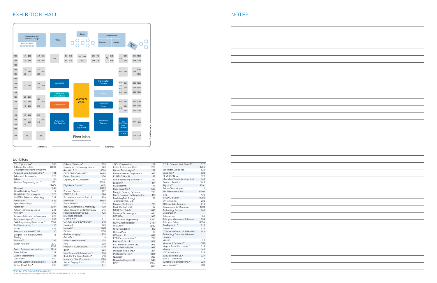## EXHIBITION HALL **ACCEPT OF A SET OF A SET OF A SET OF A SET OF A SET OF A SET OF A SET OF A SET OF A SET OF A SET OF A SET OF A SET OF A SET OF A SET OF A SET OF A SET OF A SET OF A SET OF A SET OF A SET OF A SET OF A SET**



### **Exhibitors**

6TL Engineering\* 338 A Better Complete Development Engineering Firm 809Q Acquired Data Solutions Inc.\* 104 Advanced Illumination 327<br>Advint 116 Advint 116<br>Aledyne Engineering Inc.\*<sup>t</sup> 235, Aledyne Engineering Inc.\*<sup>†</sup> 809G Aliaro AB 340 Allied Reliability Group\* 121<br>Allied Vision Technologies 928 Allied Vision Technologies 928<br>AMETEK Solartron Metrology 332 AMETEK Solartron Metrology Amfax Ltd.\* 639 Aplex Technology 240<br>Appando<sup>t</sup> 809F Appando<sup>+</sup> Artisan Technology Group 241 Averna\*<sup>†</sup> 310<br>Avionics Interface Technologies 222 Avionics Interface Technologies Avtron Aerospace\* 938 B&A Engineering Systems Inc.\*<sup>†</sup> 809A<br>Ball Systems Inc.\* 210 Ball Systems Inc.\* 210<br>Basler 225 Basler 925<br>Beltronic Industrie-PC AG 130 Beltronic Industrie-PC AG Berghof Automation GmbH | Testing\* 115 Bloomy\*<sup>†</sup> 205<br>Bosch Rexroth<sup>†</sup> 221, Bosch Rexroth<sup>+</sup> 809P Bosch Software Innovations Bruel & Kjaer 227 Carmel Instruments 133<br>CertTech<sup>\*†</sup> 840 CertTech\*<sup>†</sup> 840<br>Chroma Systems Solutions Inc. 924 Chroma Systems Solutions Inc. Circuit Check Inc.\* 326

| Cobham Wireless*                    | 105   | <b>JSOL Corporation</b>                 | 122   |
|-------------------------------------|-------|-----------------------------------------|-------|
| <b>Connection Technology Center</b> | 220   | Kistler Instrument Corp.                | 229   |
| dag.io LLC* <sup>+</sup>            | 809J  | Konrad Technologies*                    | 239   |
| DATA AHEAD GmbH* <sup>+</sup>       | 809H  | Kowa American Corporation               | 926   |
| Denso Robotics                      | 126   | KUNBUS GmbH                             | 123   |
| Digilent, an NI Company             | 140   | LHP Engineering Solutions* <sup>†</sup> | 232   |
|                                     | 809K, | Loccioni*                               | 114   |
| DigiMetrix GmbH* <sup>+</sup>       | 1016. | M3 Systems*                             | 441   |
|                                     | 809D  | MAC Panel Co.*                          | 539   |
| <b>Edmund Optics</b>                | 827   | <b>Meggitt Sensing Systems</b>          | 233   |
| EFORE S.p.A.                        | 124   | Micro Precision Calibration Inc.        | 110   |
| Emona Instruments Pty Ltd.          | 929   | ModelingTech Energy                     | 128   |
| Enthought                           | 809N  | Technology Co. Ltd. <sup>+</sup>        |       |
| Frdos Miller* <sup>†</sup>          | 108   | Mouser Electronics                      | 739   |
| esz AG calibration & metrology      | 139   | Multi-Contact USA                       | 132   |
| Ettus Research, an NI Company       | 215   | <b>NASA Tech Briefs</b>                 | 1040  |
| Focus Technology Group,             | 136   | Neousys Technology Inc.                 | 1024  |
| a Mesuro product                    |       | <b>NFT USA</b>                          | 920   |
| G Systems*                          | 817   | NI Systems Engineering                  | 8090  |
| G.R.A.S. Sound & Vibration*         | 218   | NOFFZ Technologies*                     | 318A  |
| Gardasoft <sup>+</sup>              | 940   | OPAI-RT* <sup>†</sup>                   | 809C  |
| Gemalto <sup>t</sup>                | 1028  | <b>OPC</b> Foundation                   | 113   |
| Girlstart                           | 1038  | OptimalPlus                             | 138   |
| Graftek Imaging*                    | 825   | OSIsoft LLC                             | 641   |
| GuideTech                           | 119   | PCB Piezotronics Inc.*                  | 738   |
| Hiller Measurements*                | 135   | Perkins Coie LLP                        | 541   |
| <b>HPF</b>                          | 1008  | PFC Flexible Circuits Ltd.              | 916   |
| HUBER + SUHNER Inc.                 | 919   | Pleora Technologies                     | 939   |
| IBM*                                | 905   | Precision Filters Inc.*                 | 214   |
| Ideal System Solutions Inc.*        | 134   | PVI Systems Inc.* <sup>†</sup>          | 821   |
| IFFF Central Texas Section*         | 918   | Ouanser <sup>t</sup>                    | 339   |
| Integrated Test Corporation         | 1026  | Quantified Logic LLC                    | 540   |
| Jasper Display Corp.                | 1032  | $RTI^{*+}$                              | 1020. |
| JKI* <sup>+</sup>                   | 911   |                                         | 8091  |

| S.E.A. Datentechnik GmbH* <sup>+</sup>                                    | 917,<br>809E |
|---------------------------------------------------------------------------|--------------|
| Schneider Optics Inc.                                                     | 829          |
| Seica Inc.*                                                               | 833          |
| SEMIKRON Inc.                                                             | 127          |
| Shenzhen Vico Technology Ltd.                                             | 941          |
| Sentech America                                                           | 1018         |
| Signal.X* <sup>+</sup>                                                    | 809L         |
| Soliton Technologies                                                      | 211          |
| SM Instruments Inc* <sup>+</sup>                                          | 809M         |
| <b>STIL</b>                                                               | 439          |
| STUDIO BODs* <sup>+</sup>                                                 | 809B         |
| SVTronics Inc.                                                            | 238          |
| TDK-Lambda Americas                                                       | 219          |
| Tecnologico de Monterrey                                                  | 1034         |
| <b>Technology Service</b><br>Corporation*                                 | 640          |
| Tekscan Inc.                                                              | 740          |
| Teledyne Microwave Solutions                                              | 839          |
| <b>Teledyne Relays</b>                                                    | 839A         |
| <b>TestEquity LLC</b>                                                     | 226          |
| Trescal Inc.                                                              | 932          |
| UT Austin-Master of Science in<br>Technology Commercialization<br>Program | 1010         |
| Verivolt                                                                  | 111          |
| Viewpoint Systems* <sup>+</sup>                                           | 838          |
| Virginia Panel Corporation*                                               | 318          |
| Viviota                                                                   | 141          |
| VST America Inc.                                                          | 538          |
| Wibu-Systems USA                                                          | 927          |
| WIN 911 Software <sup>t</sup>                                             | 112          |
| Wineman Technology Inc.* <sup>†</sup>                                     | 921          |
| WireFlow AB* <sup>+</sup>                                                 | 933          |